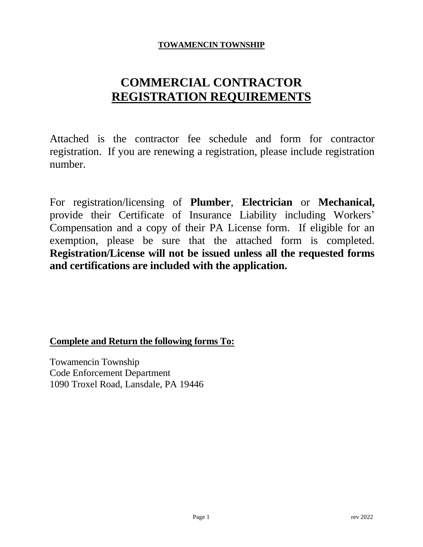### **TOWAMENCIN TOWNSHIP**

# **COMMERCIAL CONTRACTOR REGISTRATION REQUIREMENTS**

Attached is the contractor fee schedule and form for contractor registration. If you are renewing a registration, please include registration number.

For registration/licensing of **Plumber**, **Electrician** or **Mechanical,**  provide their Certificate of Insurance Liability including Workers' Compensation and a copy of their PA License form. If eligible for an exemption, please be sure that the attached form is completed. **Registration/License will not be issued unless all the requested forms and certifications are included with the application.**

# **Complete and Return the following forms To:**

Towamencin Township Code Enforcement Department 1090 Troxel Road, Lansdale, PA 19446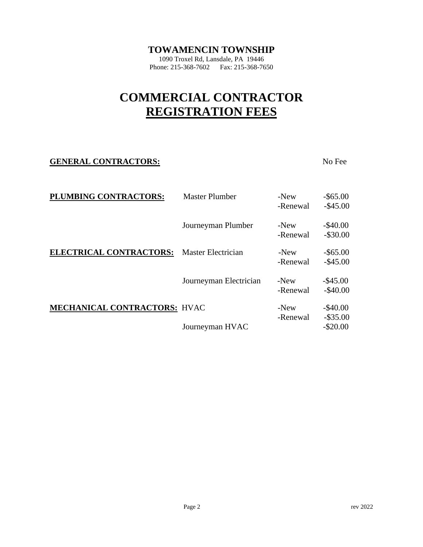#### **TOWAMENCIN TOWNSHIP**

1090 Troxel Rd, Lansdale, PA 19446 Phone: 215-368-7602 Fax: 215-368-7650

# **COMMERCIAL CONTRACTOR REGISTRATION FEES**

**GENERAL CONTRACTORS:** No Fee

| PLUMBING CONTRACTORS:               | Master Plumber         | $-New$<br>-Renewal | $-$ \$65.00<br>$-$ \$45.00 |
|-------------------------------------|------------------------|--------------------|----------------------------|
|                                     | Journeyman Plumber     | -New<br>-Renewal   | $-$ \$40.00<br>$-$ \$30.00 |
| <b>ELECTRICAL CONTRACTORS:</b>      | Master Electrician     | -New<br>-Renewal   | $-$ \$65.00<br>$-$ \$45.00 |
|                                     | Journeyman Electrician | -New<br>-Renewal   | $-$ \$45.00<br>$-$ \$40.00 |
| <b>MECHANICAL CONTRACTORS: HVAC</b> |                        | -New<br>-Renewal   | $-$ \$40.00<br>$-$ \$35.00 |
|                                     | Journeyman HVAC        |                    | $-$ \$20.00                |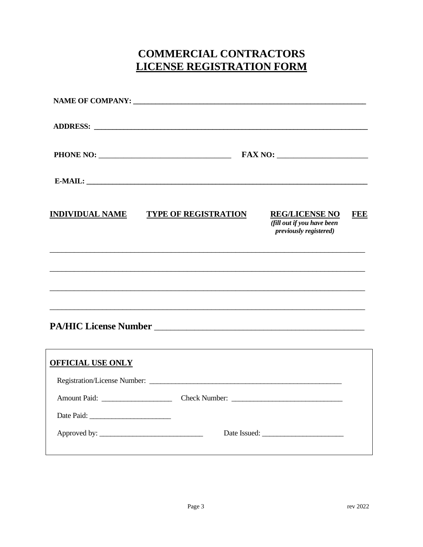# **COMMERCIAL CONTRACTORS LICENSE REGISTRATION FORM**

| <b>INDIVIDUAL NAME</b>   | <b>TYPE OF REGISTRATION</b>                                                                                          | <b>REG/LICENSE NO</b><br><b>FEE</b><br>(fill out if you have been<br>previously registered) |  |
|--------------------------|----------------------------------------------------------------------------------------------------------------------|---------------------------------------------------------------------------------------------|--|
|                          | <u> 2000 - 2000 - 2000 - 2000 - 2000 - 2000 - 2000 - 2000 - 2000 - 2000 - 2000 - 2000 - 2000 - 2000 - 2000 - 200</u> |                                                                                             |  |
|                          |                                                                                                                      |                                                                                             |  |
|                          |                                                                                                                      |                                                                                             |  |
| <b>OFFICIAL USE ONLY</b> |                                                                                                                      |                                                                                             |  |
|                          |                                                                                                                      |                                                                                             |  |
|                          |                                                                                                                      |                                                                                             |  |
|                          |                                                                                                                      |                                                                                             |  |
|                          |                                                                                                                      | Date Issued:                                                                                |  |
|                          |                                                                                                                      |                                                                                             |  |